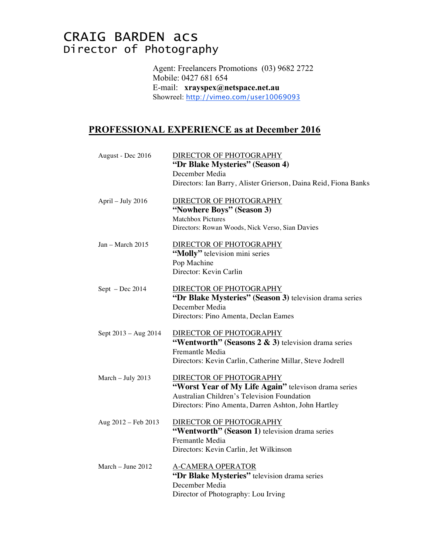## CRAIG BARDEN acs Director of Photography

Agent: Freelancers Promotions (03) 9682 2722 Mobile: 0427 681 654 E-mail: **xrayspex@netspace.net.au** Showreel: http://vimeo.com/user10069093

## **PROFESSIONAL EXPERIENCE as at December 2016**

| August - Dec 2016     | DIRECTOR OF PHOTOGRAPHY                                           |
|-----------------------|-------------------------------------------------------------------|
|                       | "Dr Blake Mysteries" (Season 4)                                   |
|                       | December Media                                                    |
|                       | Directors: Ian Barry, Alister Grierson, Daina Reid, Fiona Banks   |
| April - July 2016     | DIRECTOR OF PHOTOGRAPHY                                           |
|                       | "Nowhere Boys" (Season 3)                                         |
|                       | <b>Matchbox Pictures</b>                                          |
|                       | Directors: Rowan Woods, Nick Verso, Sian Davies                   |
| $Jan - March 2015$    | DIRECTOR OF PHOTOGRAPHY                                           |
|                       | "Molly" television mini series                                    |
|                       | Pop Machine                                                       |
|                       | Director: Kevin Carlin                                            |
|                       |                                                                   |
| $Sept - Dec 2014$     | DIRECTOR OF PHOTOGRAPHY                                           |
|                       | "Dr Blake Mysteries" (Season 3) television drama series           |
|                       | December Media                                                    |
|                       | Directors: Pino Amenta, Declan Eames                              |
| Sept 2013 - Aug 2014  | DIRECTOR OF PHOTOGRAPHY                                           |
|                       | "Wentworth" (Seasons $2 \& 3$ ) television drama series           |
|                       | Fremantle Media                                                   |
|                       | Directors: Kevin Carlin, Catherine Millar, Steve Jodrell          |
|                       |                                                                   |
| March - July 2013     | DIRECTOR OF PHOTOGRAPHY                                           |
|                       | "Worst Year of My Life Again" televison drama series              |
|                       | Australian Children's Television Foundation                       |
|                       | Directors: Pino Amenta, Darren Ashton, John Hartley               |
|                       |                                                                   |
| Aug $2012 - Feb 2013$ | DIRECTOR OF PHOTOGRAPHY                                           |
|                       | "Wentworth" (Season 1) television drama series<br>Fremantle Media |
|                       |                                                                   |
|                       | Directors: Kevin Carlin, Jet Wilkinson                            |
| March $-$ June 2012   | <b>A-CAMERA OPERATOR</b>                                          |
|                       | "Dr Blake Mysteries" television drama series                      |
|                       | December Media                                                    |
|                       | Director of Photography: Lou Irving                               |
|                       |                                                                   |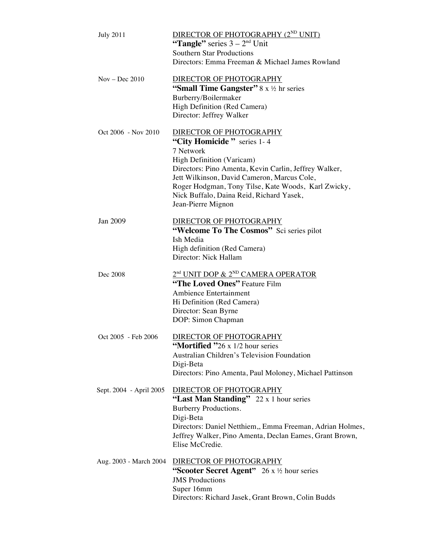| <b>July 2011</b> |                         | <b>DIRECTOR OF PHOTOGRAPHY (2<sup>ND</sup> UNIT)</b><br>"Tangle" series $3 - 2nd$ Unit<br><b>Southern Star Productions</b><br>Directors: Emma Freeman & Michael James Rowland                                                                                                                                                           |
|------------------|-------------------------|-----------------------------------------------------------------------------------------------------------------------------------------------------------------------------------------------------------------------------------------------------------------------------------------------------------------------------------------|
| $Nov - Dec 2010$ |                         | DIRECTOR OF PHOTOGRAPHY<br>"Small Time Gangster" $8 \times 16$ hr series<br>Burberry/Boilermaker<br>High Definition (Red Camera)<br>Director: Jeffrey Walker                                                                                                                                                                            |
|                  | Oct 2006 - Nov 2010     | DIRECTOR OF PHOTOGRAPHY<br>"City Homicide" series 1-4<br>7 Network<br><b>High Definition (Varicam)</b><br>Directors: Pino Amenta, Kevin Carlin, Jeffrey Walker,<br>Jett Wilkinson, David Cameron, Marcus Cole,<br>Roger Hodgman, Tony Tilse, Kate Woods, Karl Zwicky,<br>Nick Buffalo, Daina Reid, Richard Yasek,<br>Jean-Pierre Mignon |
| Jan 2009         |                         | DIRECTOR OF PHOTOGRAPHY<br>"Welcome To The Cosmos" Sci series pilot<br>Ish Media<br>High definition (Red Camera)<br>Director: Nick Hallam                                                                                                                                                                                               |
| Dec 2008         |                         | 2 <sup>nd</sup> UNIT DOP & 2 <sup>ND</sup> CAMERA OPERATOR<br>"The Loved Ones" Feature Film<br>Ambience Entertainment<br>Hi Definition (Red Camera)<br>Director: Sean Byrne<br>DOP: Simon Chapman                                                                                                                                       |
|                  | Oct 2005 - Feb 2006     | DIRECTOR OF PHOTOGRAPHY<br><b>Mortified "26 x 1/2 hour series</b> "<br>Australian Children's Television Foundation<br>Digi-Beta<br>Directors: Pino Amenta, Paul Moloney, Michael Pattinson                                                                                                                                              |
|                  | Sept. 2004 - April 2005 | DIRECTOR OF PHOTOGRAPHY<br>"Last Man Standing" 22 x 1 hour series<br>Burberry Productions.<br>Digi-Beta<br>Directors: Daniel Netthiem,, Emma Freeman, Adrian Holmes,<br>Jeffrey Walker, Pino Amenta, Declan Eames, Grant Brown,<br>Elise McCredie.                                                                                      |
|                  | Aug. 2003 - March 2004  | DIRECTOR OF PHOTOGRAPHY<br>"Scooter Secret Agent" $26 \times \frac{1}{2}$ hour series<br><b>JMS</b> Productions<br>Super 16mm<br>Directors: Richard Jasek, Grant Brown, Colin Budds                                                                                                                                                     |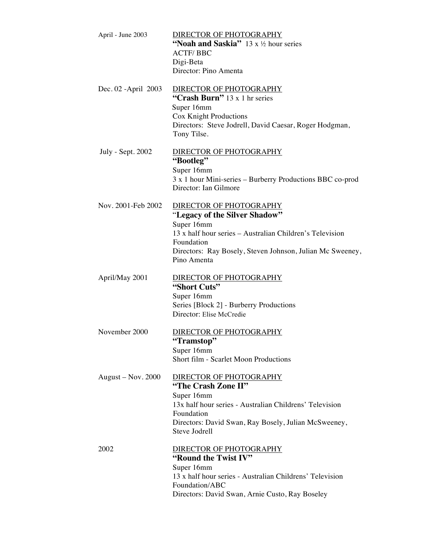| April - June 2003    | DIRECTOR OF PHOTOGRAPHY<br>"Noah and Saskia" $13 \times 12$ hour series<br><b>ACTF/BBC</b><br>Digi-Beta<br>Director: Pino Amenta                                                                                             |
|----------------------|------------------------------------------------------------------------------------------------------------------------------------------------------------------------------------------------------------------------------|
| Dec. 02 - April 2003 | DIRECTOR OF PHOTOGRAPHY<br>"Crash Burn" 13 x 1 hr series<br>Super 16mm<br><b>Cox Knight Productions</b><br>Directors: Steve Jodrell, David Caesar, Roger Hodgman,<br>Tony Tilse.                                             |
| July - Sept. 2002    | DIRECTOR OF PHOTOGRAPHY<br>"Bootleg"<br>Super 16mm<br>3 x 1 hour Mini-series - Burberry Productions BBC co-prod<br>Director: Ian Gilmore                                                                                     |
| Nov. 2001-Feb 2002   | DIRECTOR OF PHOTOGRAPHY<br>"Legacy of the Silver Shadow"<br>Super 16mm<br>13 x half hour series – Australian Children's Television<br>Foundation<br>Directors: Ray Bosely, Steven Johnson, Julian Mc Sweeney,<br>Pino Amenta |
| April/May 2001       | DIRECTOR OF PHOTOGRAPHY<br>"Short Cuts"<br>Super 16mm<br>Series [Block 2] - Burberry Productions<br>Director: Elise McCredie                                                                                                 |
| November 2000        | DIRECTOR OF PHOTOGRAPHY<br>"Tramstop"<br>Super 16mm<br>Short film - Scarlet Moon Productions                                                                                                                                 |
| August $-$ Nov. 2000 | DIRECTOR OF PHOTOGRAPHY<br>"The Crash Zone II"<br>Super 16mm<br>13x half hour series - Australian Childrens' Television<br>Foundation<br>Directors: David Swan, Ray Bosely, Julian McSweeney,<br>Steve Jodrell               |
| 2002                 | DIRECTOR OF PHOTOGRAPHY<br>"Round the Twist IV"<br>Super 16mm<br>13 x half hour series - Australian Childrens' Television<br>Foundation/ABC<br>Directors: David Swan, Arnie Custo, Ray Boseley                               |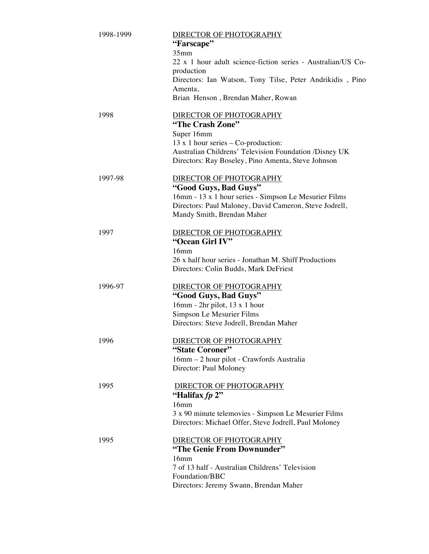| 1998-1999 | DIRECTOR OF PHOTOGRAPHY<br>"Farscape"<br>35mm<br>22 x 1 hour adult science-fiction series - Australian/US Co-                                                                                                      |
|-----------|--------------------------------------------------------------------------------------------------------------------------------------------------------------------------------------------------------------------|
|           | production<br>Directors: Ian Watson, Tony Tilse, Peter Andrikidis, Pino<br>Amenta,<br>Brian Henson, Brendan Maher, Rowan                                                                                           |
| 1998      | DIRECTOR OF PHOTOGRAPHY<br>"The Crash Zone"<br>Super 16mm<br>13 x 1 hour series $-$ Co-production:<br>Australian Childrens' Television Foundation /Disney UK<br>Directors: Ray Boseley, Pino Amenta, Steve Johnson |
| 1997-98   | <b>DIRECTOR OF PHOTOGRAPHY</b><br>"Good Guys, Bad Guys"<br>16mm - 13 x 1 hour series - Simpson Le Mesurier Films<br>Directors: Paul Maloney, David Cameron, Steve Jodrell,<br>Mandy Smith, Brendan Maher           |
| 1997      | DIRECTOR OF PHOTOGRAPHY<br>"Ocean Girl IV"<br>16mm<br>26 x half hour series - Jonathan M. Shiff Productions<br>Directors: Colin Budds, Mark DeFriest                                                               |
| 1996-97   | <b>DIRECTOR OF PHOTOGRAPHY</b><br>"Good Guys, Bad Guys"<br>16mm - 2hr pilot, 13 x 1 hour<br>Simpson Le Mesurier Films<br>Directors: Steve Jodrell, Brendan Maher                                                   |
| 1996      | DIRECTOR OF PHOTOGRAPHY<br>"State Coroner"<br>16mm - 2 hour pilot - Crawfords Australia<br>Director: Paul Moloney                                                                                                  |
| 1995      | <b>DIRECTOR OF PHOTOGRAPHY</b><br>"Halifax fp 2"<br>16mm<br>3 x 90 minute telemovies - Simpson Le Mesurier Films<br>Directors: Michael Offer, Steve Jodrell, Paul Moloney                                          |
| 1995      | DIRECTOR OF PHOTOGRAPHY<br>"The Genie From Downunder"<br>16mm<br>7 of 13 half - Australian Childrens' Television<br>Foundation/BBC<br>Directors: Jeremy Swann, Brendan Maher                                       |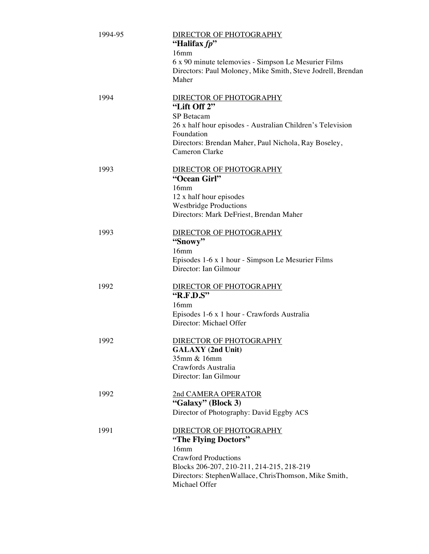| 1994-95 | DIRECTOR OF PHOTOGRAPHY<br>"Halifax fp"<br>16mm<br>6 x 90 minute telemovies - Simpson Le Mesurier Films<br>Directors: Paul Moloney, Mike Smith, Steve Jodrell, Brendan<br>Maher                                          |
|---------|--------------------------------------------------------------------------------------------------------------------------------------------------------------------------------------------------------------------------|
| 1994    | DIRECTOR OF PHOTOGRAPHY<br>"Lift Off 2"<br>SP Betacam<br>26 x half hour episodes - Australian Children's Television<br>Foundation<br>Directors: Brendan Maher, Paul Nichola, Ray Boseley,<br>Cameron Clarke              |
| 1993    | DIRECTOR OF PHOTOGRAPHY<br>"Ocean Girl"<br>16mm<br>12 x half hour episodes<br><b>Westbridge Productions</b><br>Directors: Mark DeFriest, Brendan Maher                                                                   |
| 1993    | DIRECTOR OF PHOTOGRAPHY<br>"Snowy"<br>16mm<br>Episodes 1-6 x 1 hour - Simpson Le Mesurier Films<br>Director: Ian Gilmour                                                                                                 |
| 1992    | DIRECTOR OF PHOTOGRAPHY<br>"R.F.D.S"<br>16mm<br>Episodes 1-6 x 1 hour - Crawfords Australia<br>Director: Michael Offer                                                                                                   |
| 1992    | DIRECTOR OF PHOTOGRAPHY<br><b>GALAXY</b> (2nd Unit)<br>35mm & 16mm<br>Crawfords Australia<br>Director: Ian Gilmour                                                                                                       |
| 1992    | 2nd CAMERA OPERATOR<br>"Galaxy" (Block 3)<br>Director of Photography: David Eggby ACS                                                                                                                                    |
| 1991    | DIRECTOR OF PHOTOGRAPHY<br>"The Flying Doctors"<br>16 <sub>mm</sub><br><b>Crawford Productions</b><br>Blocks 206-207, 210-211, 214-215, 218-219<br>Directors: StephenWallace, ChrisThomson, Mike Smith,<br>Michael Offer |